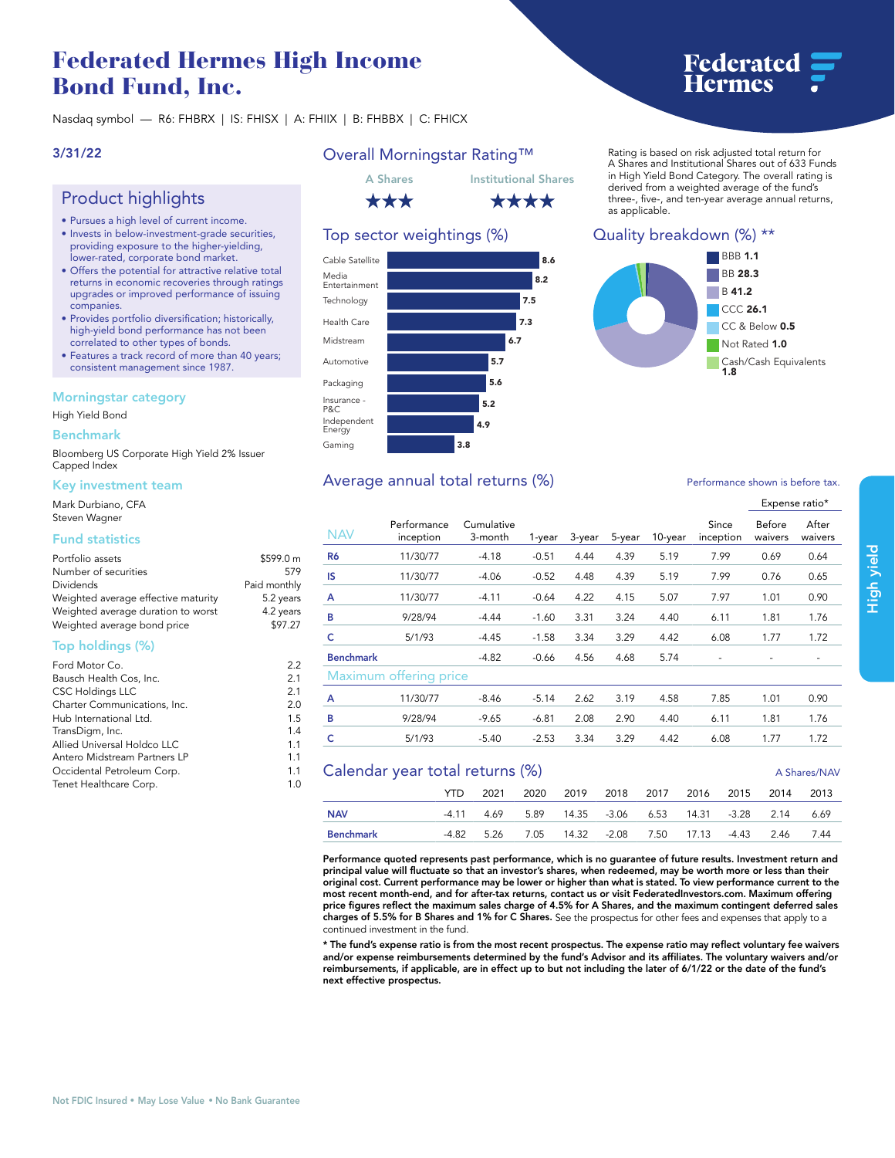# **Federated Hermes High Income Bond Fund, Inc.**

**Nasdaq symbol — R6: FHBRX | IS: FHISX | A: FHIIX | B: FHBBX | C: FHICX**

### **3/31/22**

# **Product highlights**

- **• Pursues a high level of current income.**
- **• Invests in below-investment-grade securities, providing exposure to the higher-yielding, lower-rated, corporate bond market.**
- **• Offers the potential for attractive relative total returns in economic recoveries through ratings upgrades or improved performance of issuing companies.**
- **• Provides portfolio diversification; historically, high-yield bond performance has not been correlated to other types of bonds.**
- **• Features a track record of more than 40 years; consistent management since 1987.**

### **Morningstar category**

**High Yield Bond**

#### **Benchmark**

**Bloomberg US Corporate High Yield 2% Issuer Capped Index**

### **Key investment team**

**Mark Durbiano, CFA Steven Wagner**

### **Fund statistics**

| Portfolio assets                    | \$599.0 m    |
|-------------------------------------|--------------|
| Number of securities                | 579          |
| Dividends                           | Paid monthly |
| Weighted average effective maturity | 5.2 years    |
| Weighted average duration to worst  | 4.2 years    |
| Weighted average bond price         | \$97.27      |

### **Top holdings (%)**

| Ford Motor Co.               | 2.2 |
|------------------------------|-----|
| Bausch Health Cos, Inc.      | 2.1 |
| <b>CSC Holdings LLC</b>      | 2.1 |
| Charter Communications, Inc. | 2.0 |
| Hub International Ltd.       | 1.5 |
| TransDigm, Inc.              | 1.4 |
| Allied Universal Holdco LLC  | 1.1 |
| Antero Midstream Partners LP | 1.1 |
| Occidental Petroleum Corp.   | 1.1 |
| Tenet Healthcare Corp.       | 1.0 |
|                              |     |

# **Overall Morningstar Rating™**



### **Top sector weightings (%)**



#### **Rating is based on risk adjusted total return for A Shares and Institutional Shares out of 633 Funds in High Yield Bond Category. The overall rating is derived from a weighted average of the fund's three-, five-, and ten-year average annual returns, as applicable.**

**Federated<br>Hermes** 

### **Quality breakdown (%) \*\***



# Average annual total returns  $\left(\% \right)$  **Performance shown is before tax.**

#### **Expense ratio\* NAV Performance inception Cumulative 3-month 1-year 3-year 5-year 10-year Since inception Before waivers After waivers R6 11/30/77 -4.18 -0.51 4.44 4.39 5.19 7.99 0.69 0.64 IS 11/30/77 -4.06 -0.52 4.48 4.39 5.19 7.99 0.76 0.65 A 11/30/77 -4.11 -0.64 4.22 4.15 5.07 7.97 1.01 0.90 B 9/28/94 -4.44 -1.60 3.31 3.24 4.40 6.11 1.81 1.76 C 5/1/93 -4.45 -1.58 3.34 3.29 4.42 6.08 1.77 1.72 Benchmark -4.82 -0.66 4.56 4.68 5.74 - - - Maximum offering price A 11/30/77 -8.46 -5.14 2.62 3.19 4.58 7.85 1.01 0.90 B 9/28/94 -9.65 -6.81 2.08 2.90 4.40 6.11 1.81 1.76 C 5/1/93 -5.40 -2.53 3.34 3.29 4.42 6.08 1.77 1.72**

# **Calendar year total returns (%) A Shares/NAV A Shares/NAV YTD 2021 2020 2019 2018 2017 2016 2015 2014 2013 NAV -4.11 4.69 5.89 14.35 -3.06 6.53 14.31 -3.28 2.14 6.69 Benchmark -4.82 5.26 7.05 14.32 -2.08 7.50 17.13 -4.43 2.46 7.44**

**Performance quoted represents past performance, which is no guarantee of future results. Investment return and principal value will fluctuate so that an investor's shares, when redeemed, may be worth more or less than their original cost. Current performance may be lower or higher than what is stated. To view performance current to the most recent month-end, and for after-tax returns, contact us or visit [FederatedInvestors.com.](www.federatedinvestors.com) Maximum offering price figures reflect the maximum sales charge of 4.5% for A Shares, and the maximum contingent deferred sales charges of 5.5% for B Shares and 1% for C Shares. See the prospectus for other fees and expenses that apply to a continued investment in the fund.**

**\* The fund's expense ratio is from the most recent prospectus. The expense ratio may reflect voluntary fee waivers and/or expense reimbursements determined by the fund's Advisor and its affiliates. The voluntary waivers and/or reimbursements, if applicable, are in effect up to but not including the later of 6/1/22 or the date of the fund's next effective prospectus.**